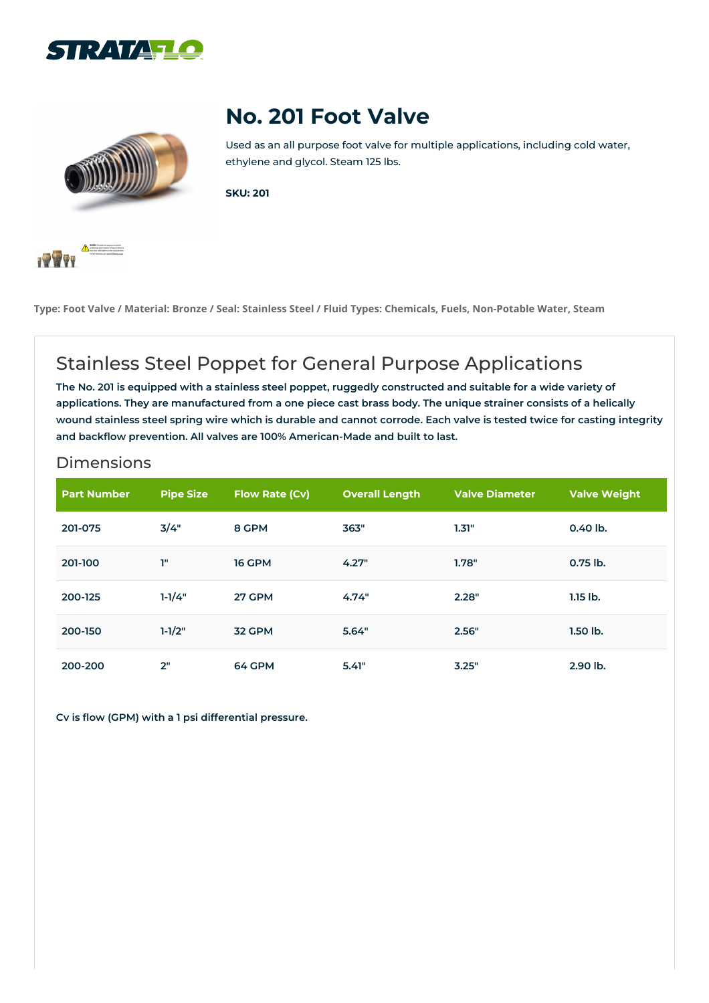



## **No. 201 Foot Valve**

Used as an all purpose foot valve for multiple applications, including cold water, ethylene and glycol. Steam 125 lbs.

**SKU: 201**



Type: Foot Valve / Material: Bronze / Seal: Stainless Steel / Fluid Types: Chemicals, Fuels, Non-Potable Water, Steam

## Stainless Steel Poppet for General Purpose Applications

The No. 201 is equipped with a stainless steel poppet, ruggedly constructed and suitable for a wide variety of applications. They are manufactured from a one piece cast brass body. The unique strainer consists of a helically wound stainless steel spring wire which is durable and cannot corrode. Each valve is tested twice for casting integrity **and backflow prevention. All valves are 100% American-Made and built to last.**

## Dimensions

| <b>Part Number</b> | <b>Pipe Size</b> | <b>Flow Rate (Cv)</b> | <b>Overall Length</b> | <b>Valve Diameter</b> | <b>Valve Weight</b> |
|--------------------|------------------|-----------------------|-----------------------|-----------------------|---------------------|
| 201-075            | 3/4"             | 8 GPM                 | 363"                  | 1.31"                 | $0.40$ lb.          |
| 201-100            | T"               | <b>16 GPM</b>         | 4.27"                 | 1.78"                 | 0.75 lb.            |
| 200-125            | $1 - 1/4"$       | 27 GPM                | 4.74"                 | 2.28"                 | $1.15$ lb.          |
| 200-150            | $1-1/2"$         | 32 GPM                | 5.64"                 | 2.56"                 | $1.50$ lb.          |
| 200-200            | 2"               | 64 GPM                | 5.41"                 | 3.25"                 | 2.90 lb.            |

**Cv is flow (GPM) with a 1 psi differential pressure.**